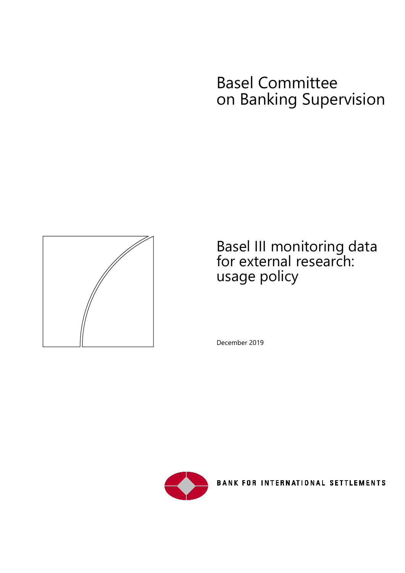# Basel Committee on Banking Supervision



## Basel III monitoring data for external research: usage policy

December 2019



**BANK FOR INTERNATIONAL SETTLEMENTS**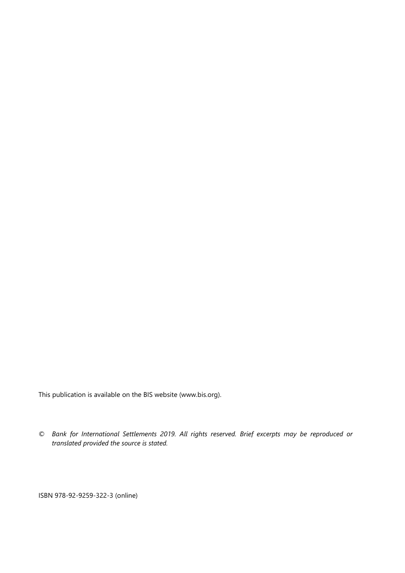This publication is available on the BIS website [\(www.bis.org\)](http://www.bis.org/).

*© Bank for International Settlements 2019. All rights reserved. Brief excerpts may be reproduced or translated provided the source is stated.*

ISBN 978-92-9259-322-3 (online)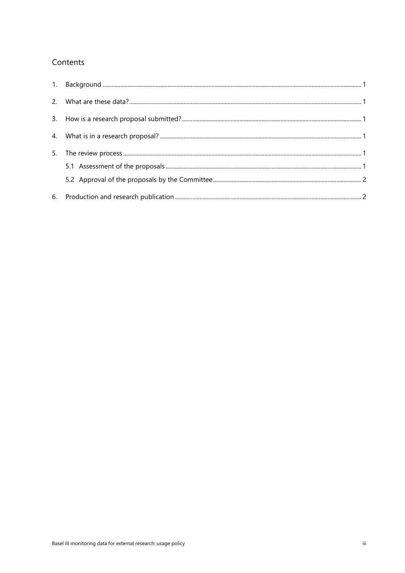#### Contents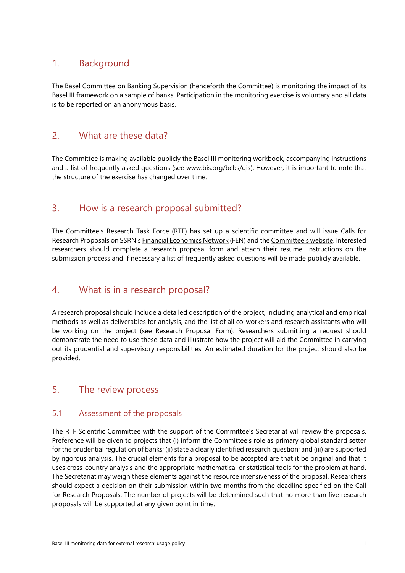## <span id="page-4-0"></span>1. Background

The Basel Committee on Banking Supervision (henceforth the Committee) is monitoring the impact of its Basel III [framework](https://www.bis.org/publ/bcbs189.htm) on a sample of banks. Participation in the monitoring exercise is voluntary and all data is to be reported on an anonymous basis.

#### <span id="page-4-1"></span>2. What are these data?

The Committee is making available publicly the Basel III monitoring workbook, accompanying instructions and a list of frequently asked questions (see [www.bis.org/bcbs/qis\)](https://www.bis.org/bcbs/qis). However, it is important to note that the structure of the exercise has changed over time.

## <span id="page-4-2"></span>3. How is a research proposal submitted?

The Committee's Research Task Force (RTF) has set up a scientific committee and will issue Calls for Research Proposals on SSRN'[s Financial Economics Network](https://www.ssrn.com/en/index.cfm/fen/) (FEN) and the [Committee's website.](https://www.bis.org/bcbs/events/) Interested researchers should complete a research proposal form and attach their resume. Instructions on the submission process and if necessary a list of frequently asked questions will be made publicly available.

## <span id="page-4-3"></span>4. What is in a research proposal?

A research proposal should include a detailed description of the project, including analytical and empirical methods as well as deliverables for analysis, and the list of all co-workers and research assistants who will be working on the project (see Research Proposal Form). Researchers submitting a request should demonstrate the need to use these data and illustrate how the project will aid the Committee in carrying out its prudential and supervisory responsibilities. An estimated duration for the project should also be provided.

#### <span id="page-4-4"></span>5. The review process

#### <span id="page-4-5"></span>5.1 Assessment of the proposals

The RTF Scientific Committee with the support of the Committee's Secretariat will review the proposals. Preference will be given to projects that (i) inform the Committee's role as primary global standard setter for the prudential regulation of banks; (ii) state a clearly identified research question; and (iii) are supported by rigorous analysis. The crucial elements for a proposal to be accepted are that it be original and that it uses cross-country analysis and the appropriate mathematical or statistical tools for the problem at hand. The Secretariat may weigh these elements against the resource intensiveness of the proposal. Researchers should expect a decision on their submission within two months from the deadline specified on the Call for Research Proposals. The number of projects will be determined such that no more than five research proposals will be supported at any given point in time.